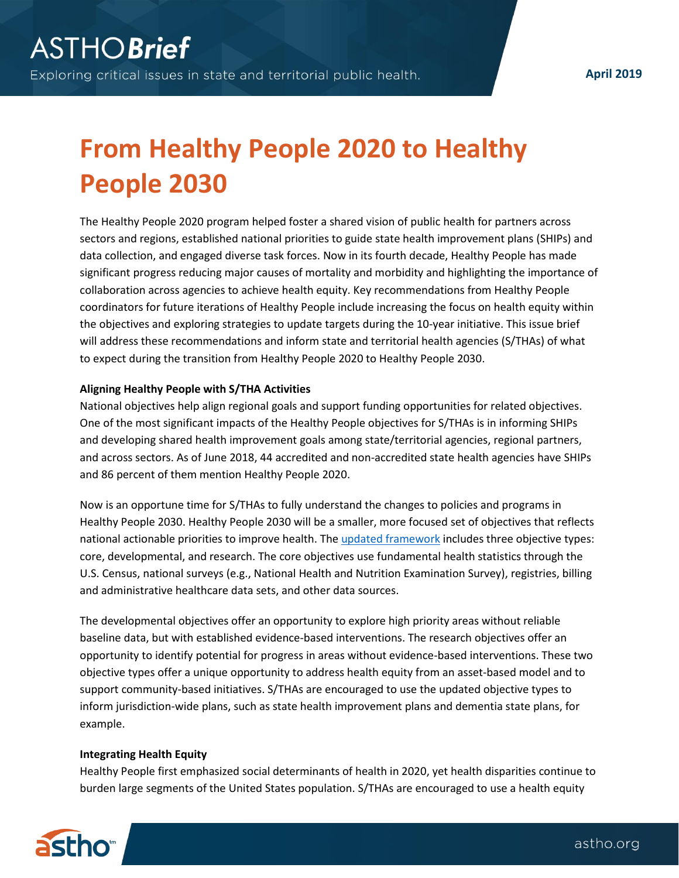**April 2019**

# **From Healthy People 2020 to Healthy People 2030**

The Healthy People 2020 program helped foster a shared vision of public health for partners across sectors and regions, established national priorities to guide state health improvement plans (SHIPs) and data collection, and engaged diverse task forces. Now in its fourth decade, Healthy People has made significant progress reducing major causes of mortality and morbidity and highlighting the importance of collaboration across agencies to achieve health equity. Key recommendations from Healthy People coordinators for future iterations of Healthy People include increasing the focus on health equity within the objectives and exploring strategies to update targets during the 10-year initiative. This issue brief will address these recommendations and inform state and territorial health agencies (S/THAs) of what to expect during the transition from Healthy People 2020 to Healthy People 2030.

## **Aligning Healthy People with S/THA Activities**

National objectives help align regional goals and support funding opportunities for related objectives. One of the most significant impacts of the Healthy People objectives for S/THAs is in informing SHIPs and developing shared health improvement goals among state/territorial agencies, regional partners, and across sectors. As of June 2018, 44 accredited and non-accredited state health agencies have SHIPs and 86 percent of them mention Healthy People 2020.

Now is an opportune time for S/THAs to fully understand the changes to policies and programs in Healthy People 2030. Healthy People 2030 will be a smaller, more focused set of objectives that reflects national actionable priorities to improve health. Th[e updated framework](https://www.healthypeople.gov/2020/About-Healthy-People/Development-Healthy-People-2030/Framework) includes three objective types: core, developmental, and research. The core objectives use fundamental health statistics through the U.S. Census, national surveys (e.g., National Health and Nutrition Examination Survey), registries, billing and administrative healthcare data sets, and other data sources.

The developmental objectives offer an opportunity to explore high priority areas without reliable baseline data, but with established evidence-based interventions. The research objectives offer an opportunity to identify potential for progress in areas without evidence-based interventions. These two objective types offer a unique opportunity to address health equity from an asset-based model and to support community-based initiatives. S/THAs are encouraged to use the updated objective types to inform jurisdiction-wide plans, such as state health improvement plans and dementia state plans, for example.

## **Integrating Health Equity**

Healthy People first emphasized social determinants of health in 2020, yet health disparities continue to burden large segments of the United States population. S/THAs are encouraged to use a health equity